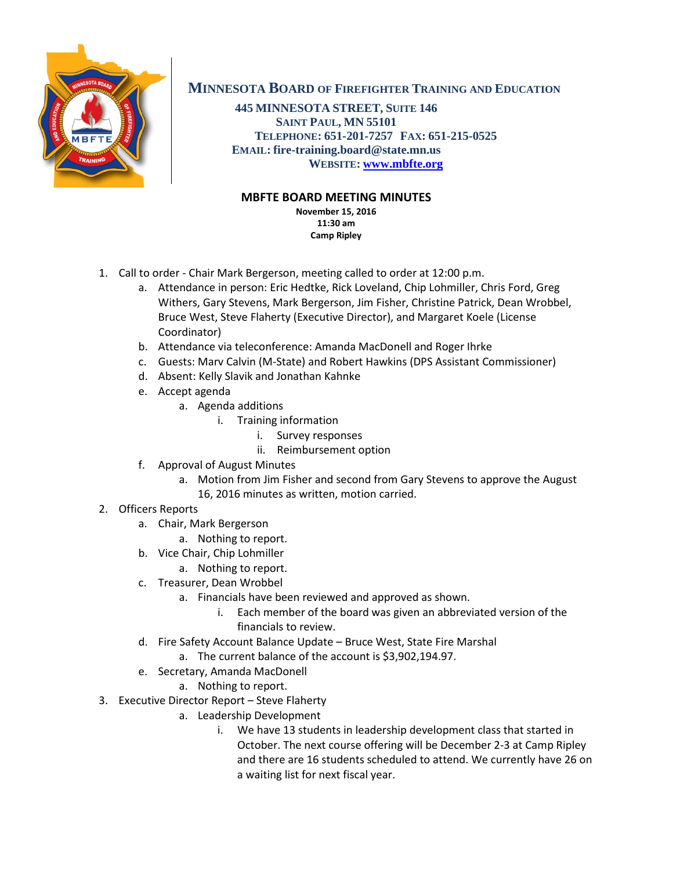

## **MINNESOTA BOARD OF FIREFIGHTER TRAINING AND EDUCATION**

**445 MINNESOTA STREET, SUITE 146 SAINT PAUL, MN 55101 TELEPHONE: 651-201-7257 FAX: 651-215-0525 EMAIL: fire-training.board@state.mn.us WEBSITE: [www.mbfte.org](http://www.mbfte.org/)**

## **MBFTE BOARD MEETING MINUTES**

**November 15, 2016 11:30 am Camp Ripley**

- 1. Call to order Chair Mark Bergerson, meeting called to order at 12:00 p.m.
	- a. Attendance in person: Eric Hedtke, Rick Loveland, Chip Lohmiller, Chris Ford, Greg Withers, Gary Stevens, Mark Bergerson, Jim Fisher, Christine Patrick, Dean Wrobbel, Bruce West, Steve Flaherty (Executive Director), and Margaret Koele (License Coordinator)
	- b. Attendance via teleconference: Amanda MacDonell and Roger Ihrke
	- c. Guests: Marv Calvin (M-State) and Robert Hawkins (DPS Assistant Commissioner)
	- d. Absent: Kelly Slavik and Jonathan Kahnke
	- e. Accept agenda
		- a. Agenda additions
			- i. Training information
				- i. Survey responses
				- ii. Reimbursement option
	- f. Approval of August Minutes
		- a. Motion from Jim Fisher and second from Gary Stevens to approve the August 16, 2016 minutes as written, motion carried.
- 2. Officers Reports
	- a. Chair, Mark Bergerson
		- a. Nothing to report.
	- b. Vice Chair, Chip Lohmiller
		- a. Nothing to report.
	- c. Treasurer, Dean Wrobbel
		- a. Financials have been reviewed and approved as shown.
			- i. Each member of the board was given an abbreviated version of the financials to review.
	- d. Fire Safety Account Balance Update Bruce West, State Fire Marshal
		- a. The current balance of the account is \$3,902,194.97.
	- e. Secretary, Amanda MacDonell
		- a. Nothing to report.
- 3. Executive Director Report Steve Flaherty
	- a. Leadership Development
		- i. We have 13 students in leadership development class that started in October. The next course offering will be December 2-3 at Camp Ripley and there are 16 students scheduled to attend. We currently have 26 on a waiting list for next fiscal year.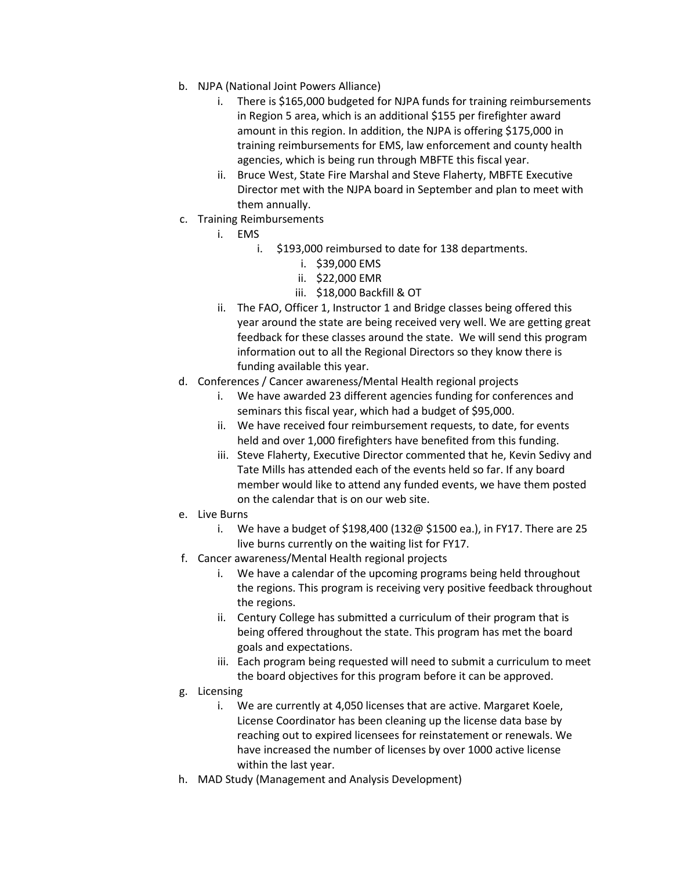- b. NJPA (National Joint Powers Alliance)
	- i. There is \$165,000 budgeted for NJPA funds for training reimbursements in Region 5 area, which is an additional \$155 per firefighter award amount in this region. In addition, the NJPA is offering \$175,000 in training reimbursements for EMS, law enforcement and county health agencies, which is being run through MBFTE this fiscal year.
	- ii. Bruce West, State Fire Marshal and Steve Flaherty, MBFTE Executive Director met with the NJPA board in September and plan to meet with them annually.
- c. Training Reimbursements
	- i. EMS
		- i. \$193,000 reimbursed to date for 138 departments.
			- i. \$39,000 EMS
			- ii. \$22,000 EMR
			- iii. \$18,000 Backfill & OT
	- ii. The FAO, Officer 1, Instructor 1 and Bridge classes being offered this year around the state are being received very well. We are getting great feedback for these classes around the state. We will send this program information out to all the Regional Directors so they know there is funding available this year.
- d. Conferences / Cancer awareness/Mental Health regional projects
	- i. We have awarded 23 different agencies funding for conferences and seminars this fiscal year, which had a budget of \$95,000.
	- ii. We have received four reimbursement requests, to date, for events held and over 1,000 firefighters have benefited from this funding.
	- iii. Steve Flaherty, Executive Director commented that he, Kevin Sedivy and Tate Mills has attended each of the events held so far. If any board member would like to attend any funded events, we have them posted on the calendar that is on our web site.
- e. Live Burns
	- i. We have a budget of \$198,400 (132@ \$1500 ea.), in FY17. There are 25 live burns currently on the waiting list for FY17.
- f. Cancer awareness/Mental Health regional projects
	- i. We have a calendar of the upcoming programs being held throughout the regions. This program is receiving very positive feedback throughout the regions.
	- ii. Century College has submitted a curriculum of their program that is being offered throughout the state. This program has met the board goals and expectations.
	- iii. Each program being requested will need to submit a curriculum to meet the board objectives for this program before it can be approved.
- g. Licensing
	- i. We are currently at 4,050 licenses that are active. Margaret Koele, License Coordinator has been cleaning up the license data base by reaching out to expired licensees for reinstatement or renewals. We have increased the number of licenses by over 1000 active license within the last year.
- h. MAD Study (Management and Analysis Development)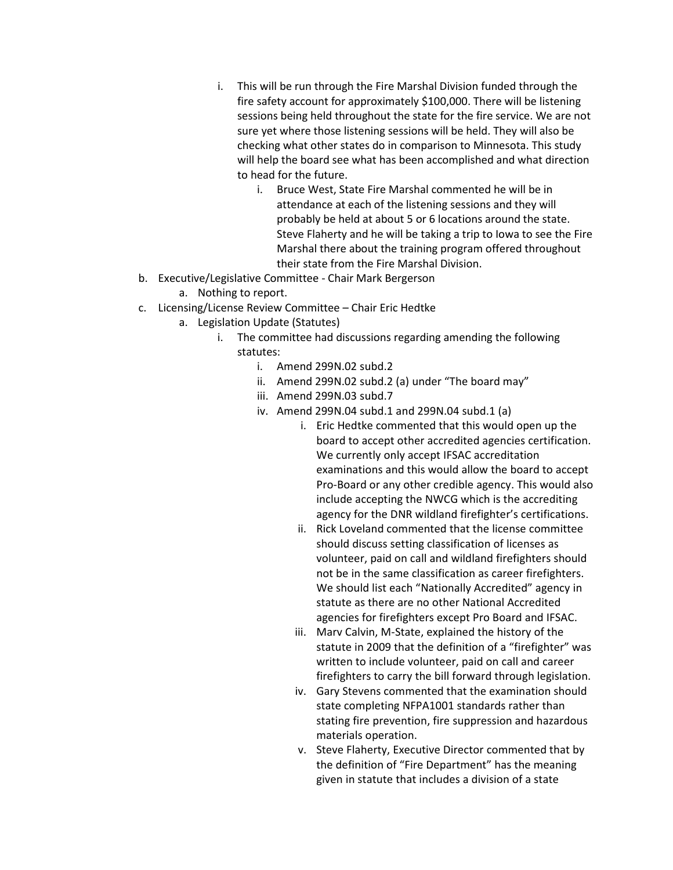- i. This will be run through the Fire Marshal Division funded through the fire safety account for approximately \$100,000. There will be listening sessions being held throughout the state for the fire service. We are not sure yet where those listening sessions will be held. They will also be checking what other states do in comparison to Minnesota. This study will help the board see what has been accomplished and what direction to head for the future.
	- i. Bruce West, State Fire Marshal commented he will be in attendance at each of the listening sessions and they will probably be held at about 5 or 6 locations around the state. Steve Flaherty and he will be taking a trip to Iowa to see the Fire Marshal there about the training program offered throughout their state from the Fire Marshal Division.
- b. Executive/Legislative Committee Chair Mark Bergerson
	- a. Nothing to report.
- c. Licensing/License Review Committee Chair Eric Hedtke
	- a. Legislation Update (Statutes)
		- i. The committee had discussions regarding amending the following statutes:
			- i. Amend 299N.02 subd.2
			- ii. Amend 299N.02 subd.2 (a) under "The board may"
			- iii. Amend 299N.03 subd.7
			- iv. Amend 299N.04 subd.1 and 299N.04 subd.1 (a)
				- i. Eric Hedtke commented that this would open up the board to accept other accredited agencies certification. We currently only accept IFSAC accreditation examinations and this would allow the board to accept Pro-Board or any other credible agency. This would also include accepting the NWCG which is the accrediting agency for the DNR wildland firefighter's certifications.
				- ii. Rick Loveland commented that the license committee should discuss setting classification of licenses as volunteer, paid on call and wildland firefighters should not be in the same classification as career firefighters. We should list each "Nationally Accredited" agency in statute as there are no other National Accredited agencies for firefighters except Pro Board and IFSAC.
				- iii. Marv Calvin, M-State, explained the history of the statute in 2009 that the definition of a "firefighter" was written to include volunteer, paid on call and career firefighters to carry the bill forward through legislation.
				- iv. Gary Stevens commented that the examination should state completing NFPA1001 standards rather than stating fire prevention, fire suppression and hazardous materials operation.
				- v. Steve Flaherty, Executive Director commented that by the definition of "Fire Department" has the meaning given in statute that includes a division of a state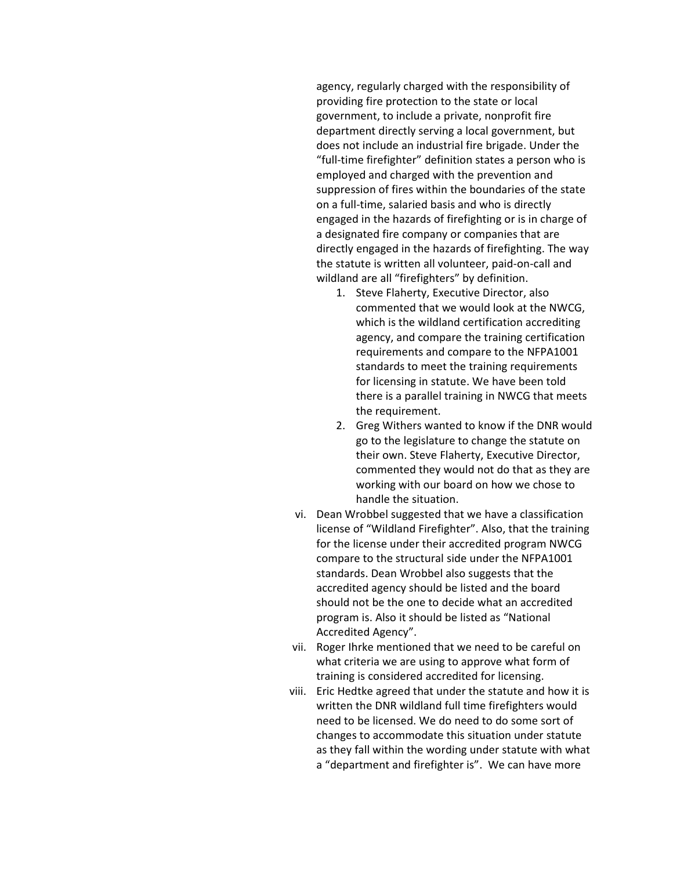agency, regularly charged with the responsibility of providing fire protection to the state or local government, to include a private, nonprofit fire department directly serving a local government, but does not include an industrial fire brigade. Under the "full-time firefighter" definition states a person who is employed and charged with the prevention and suppression of fires within the boundaries of the state on a full-time, salaried basis and who is directly engaged in the hazards of firefighting or is in charge of a designated fire company or companies that are directly engaged in the hazards of firefighting. The way the statute is written all volunteer, paid-on-call and wildland are all "firefighters" by definition.

- 1. Steve Flaherty, Executive Director, also commented that we would look at the NWCG, which is the wildland certification accrediting agency, and compare the training certification requirements and compare to the NFPA1001 standards to meet the training requirements for licensing in statute. We have been told there is a parallel training in NWCG that meets the requirement.
- 2. Greg Withers wanted to know if the DNR would go to the legislature to change the statute on their own. Steve Flaherty, Executive Director, commented they would not do that as they are working with our board on how we chose to handle the situation.
- vi. Dean Wrobbel suggested that we have a classification license of "Wildland Firefighter". Also, that the training for the license under their accredited program NWCG compare to the structural side under the NFPA1001 standards. Dean Wrobbel also suggests that the accredited agency should be listed and the board should not be the one to decide what an accredited program is. Also it should be listed as "National Accredited Agency".
- vii. Roger Ihrke mentioned that we need to be careful on what criteria we are using to approve what form of training is considered accredited for licensing.
- viii. Eric Hedtke agreed that under the statute and how it is written the DNR wildland full time firefighters would need to be licensed. We do need to do some sort of changes to accommodate this situation under statute as they fall within the wording under statute with what a "department and firefighter is". We can have more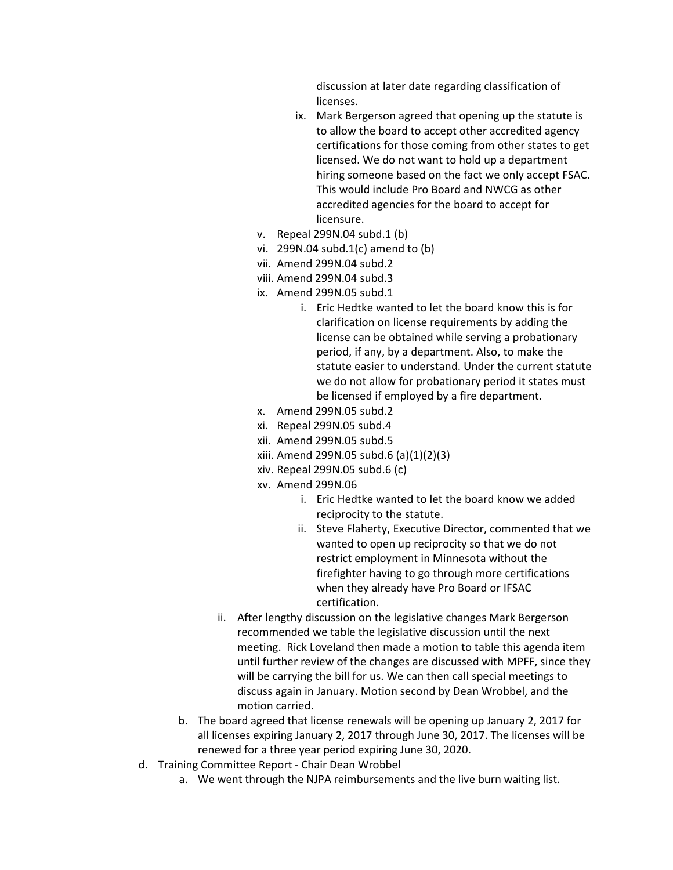discussion at later date regarding classification of licenses.

- ix. Mark Bergerson agreed that opening up the statute is to allow the board to accept other accredited agency certifications for those coming from other states to get licensed. We do not want to hold up a department hiring someone based on the fact we only accept FSAC. This would include Pro Board and NWCG as other accredited agencies for the board to accept for licensure.
- v. Repeal 299N.04 subd.1 (b)
- vi. 299N.04 subd.1(c) amend to (b)
- vii. Amend 299N.04 subd.2
- viii. Amend 299N.04 subd.3
- ix. Amend 299N.05 subd.1
	- i. Eric Hedtke wanted to let the board know this is for clarification on license requirements by adding the license can be obtained while serving a probationary period, if any, by a department. Also, to make the statute easier to understand. Under the current statute we do not allow for probationary period it states must be licensed if employed by a fire department.
- x. Amend 299N.05 subd.2
- xi. Repeal 299N.05 subd.4
- xii. Amend 299N.05 subd.5
- xiii. Amend 299N.05 subd.6 (a)(1)(2)(3)
- xiv. Repeal 299N.05 subd.6 (c)
- xv. Amend 299N.06
	- i. Eric Hedtke wanted to let the board know we added reciprocity to the statute.
	- ii. Steve Flaherty, Executive Director, commented that we wanted to open up reciprocity so that we do not restrict employment in Minnesota without the firefighter having to go through more certifications when they already have Pro Board or IFSAC certification.
- ii. After lengthy discussion on the legislative changes Mark Bergerson recommended we table the legislative discussion until the next meeting. Rick Loveland then made a motion to table this agenda item until further review of the changes are discussed with MPFF, since they will be carrying the bill for us. We can then call special meetings to discuss again in January. Motion second by Dean Wrobbel, and the motion carried.
- b. The board agreed that license renewals will be opening up January 2, 2017 for all licenses expiring January 2, 2017 through June 30, 2017. The licenses will be renewed for a three year period expiring June 30, 2020.
- d. Training Committee Report Chair Dean Wrobbel
	- a. We went through the NJPA reimbursements and the live burn waiting list.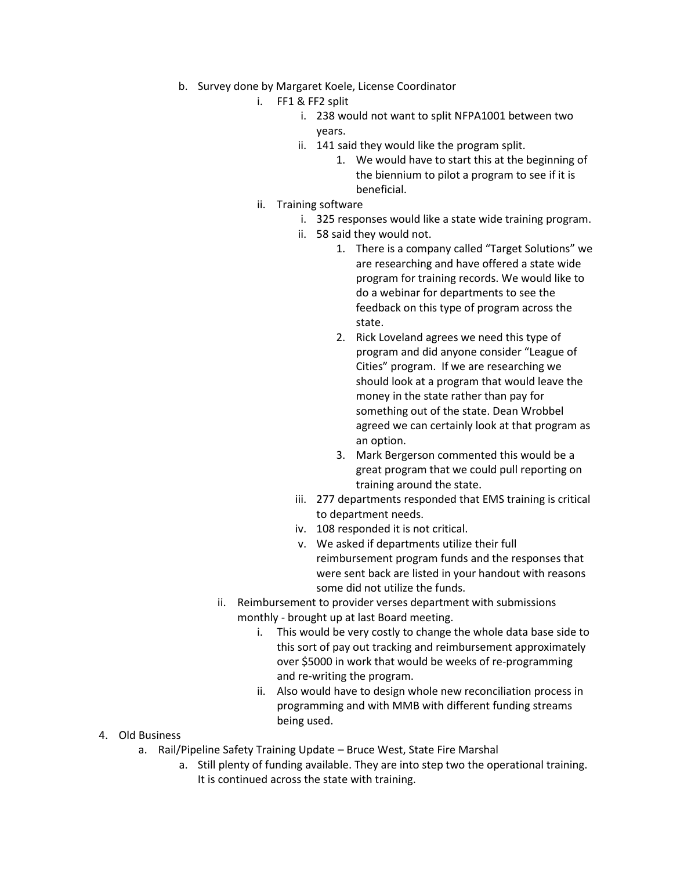- b. Survey done by Margaret Koele, License Coordinator
	- i. FF1 & FF2 split
		- i. 238 would not want to split NFPA1001 between two years.
		- ii. 141 said they would like the program split.
			- 1. We would have to start this at the beginning of the biennium to pilot a program to see if it is beneficial.
	- ii. Training software
		- i. 325 responses would like a state wide training program.
		- ii. 58 said they would not.
			- 1. There is a company called "Target Solutions" we are researching and have offered a state wide program for training records. We would like to do a webinar for departments to see the feedback on this type of program across the state.
			- 2. Rick Loveland agrees we need this type of program and did anyone consider "League of Cities" program. If we are researching we should look at a program that would leave the money in the state rather than pay for something out of the state. Dean Wrobbel agreed we can certainly look at that program as an option.
			- 3. Mark Bergerson commented this would be a great program that we could pull reporting on training around the state.
		- iii. 277 departments responded that EMS training is critical to department needs.
		- iv. 108 responded it is not critical.
		- v. We asked if departments utilize their full reimbursement program funds and the responses that were sent back are listed in your handout with reasons some did not utilize the funds.
	- ii. Reimbursement to provider verses department with submissions monthly - brought up at last Board meeting.
		- i. This would be very costly to change the whole data base side to this sort of pay out tracking and reimbursement approximately over \$5000 in work that would be weeks of re-programming and re-writing the program.
		- ii. Also would have to design whole new reconciliation process in programming and with MMB with different funding streams being used.
- 4. Old Business
	- a. Rail/Pipeline Safety Training Update Bruce West, State Fire Marshal
		- a. Still plenty of funding available. They are into step two the operational training. It is continued across the state with training.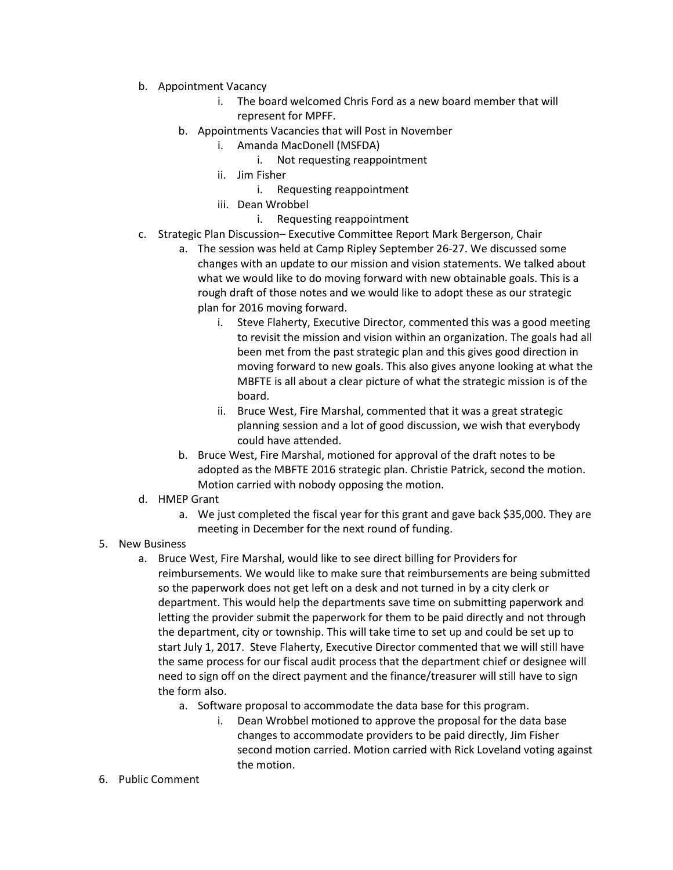- b. Appointment Vacancy
	- i. The board welcomed Chris Ford as a new board member that will represent for MPFF.
	- b. Appointments Vacancies that will Post in November
		- i. Amanda MacDonell (MSFDA)
			- i. Not requesting reappointment
		- ii. Jim Fisher
			- i. Requesting reappointment
		- iii. Dean Wrobbel
			- i. Requesting reappointment
- c. Strategic Plan Discussion– Executive Committee Report Mark Bergerson, Chair
	- a. The session was held at Camp Ripley September 26-27. We discussed some changes with an update to our mission and vision statements. We talked about what we would like to do moving forward with new obtainable goals. This is a rough draft of those notes and we would like to adopt these as our strategic plan for 2016 moving forward.
		- i. Steve Flaherty, Executive Director, commented this was a good meeting to revisit the mission and vision within an organization. The goals had all been met from the past strategic plan and this gives good direction in moving forward to new goals. This also gives anyone looking at what the MBFTE is all about a clear picture of what the strategic mission is of the board.
		- ii. Bruce West, Fire Marshal, commented that it was a great strategic planning session and a lot of good discussion, we wish that everybody could have attended.
	- b. Bruce West, Fire Marshal, motioned for approval of the draft notes to be adopted as the MBFTE 2016 strategic plan. Christie Patrick, second the motion. Motion carried with nobody opposing the motion.
- d. HMEP Grant
	- a. We just completed the fiscal year for this grant and gave back \$35,000. They are meeting in December for the next round of funding.
- 5. New Business
	- a. Bruce West, Fire Marshal, would like to see direct billing for Providers for reimbursements. We would like to make sure that reimbursements are being submitted so the paperwork does not get left on a desk and not turned in by a city clerk or department. This would help the departments save time on submitting paperwork and letting the provider submit the paperwork for them to be paid directly and not through the department, city or township. This will take time to set up and could be set up to start July 1, 2017. Steve Flaherty, Executive Director commented that we will still have the same process for our fiscal audit process that the department chief or designee will need to sign off on the direct payment and the finance/treasurer will still have to sign the form also.
		- a. Software proposal to accommodate the data base for this program.
			- i. Dean Wrobbel motioned to approve the proposal for the data base changes to accommodate providers to be paid directly, Jim Fisher second motion carried. Motion carried with Rick Loveland voting against the motion.
- 6. Public Comment